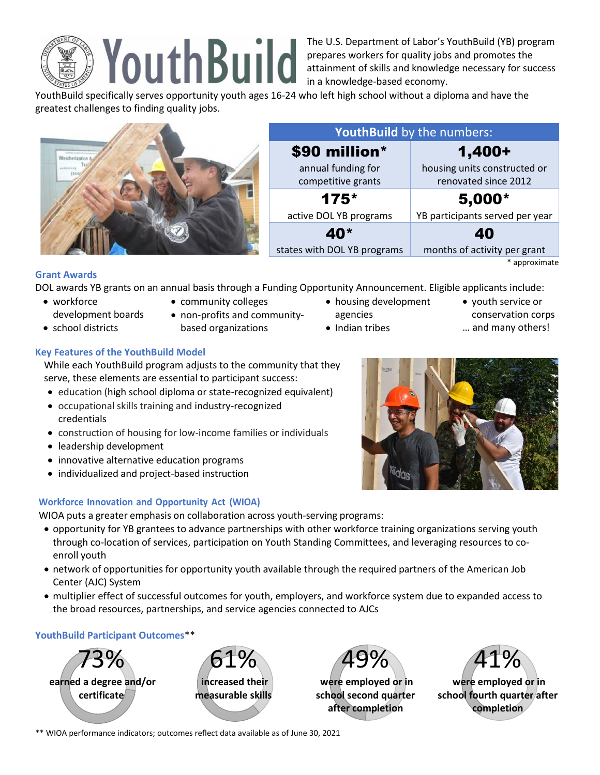

The U.S. Department of Labor's YouthBuild (YB) program prepares workers for quality jobs and promotes the attainment of skills and knowledge necessary for success in a knowledge-based economy.

YouthBuild specifically serves opportunity youth ages 16-24 who left high school without a diploma and have the greatest challenges to finding quality jobs.

|                | YouthBuild by the numbers:               |                                                      |
|----------------|------------------------------------------|------------------------------------------------------|
| wo.divisio(ai) | \$90 million*                            | 1,400+                                               |
|                | annual funding for<br>competitive grants | housing units constructed or<br>renovated since 2012 |
|                | $175*$                                   | $5,000*$                                             |
|                | active DOL YB programs                   | YB participants served per year                      |
|                | 40 <sup>*</sup>                          | 40                                                   |
|                | states with DOL YB programs              | months of activity per grant                         |
|                |                                          | * approximate                                        |

### **Grant Awards**

DOL awards YB grants on an annual basis through a Funding Opportunity Announcement. Eligible applicants include:

- workforce
- development boards
- school districts
- community colleges
- non-profits and community
	- based organizations
- housing development agencies
- 
- Indian tribes
- youth service or conservation corps
- … and many others!

# **Key Features of the YouthBuild Model**

While each YouthBuild program adjusts to the community that they serve, these elements are essential to participant success:

- education (high school diploma or state-recognized equivalent)
- occupational skills training and industry-recognized credentials
- construction of housing for low-income families or individuals
- leadership development
- innovative alternative education programs
- individualized and project-based instruction

## **Workforce Innovation and Opportunity Act (WIOA)**

WIOA puts a greater emphasis on collaboration across youth-serving programs:

- opportunity for YB grantees to advance partnerships with other workforce training organizations serving youth through co-location of services, participation on Youth Standing Committees, and leveraging resources to coenroll youth
- network of opportunities for opportunity youth available through the required partners of the American Job Center (AJC) System
- multiplier effect of successful outcomes for youth, employers, and workforce system due to expanded access to the broad resources, partnerships, and service agencies connected to AJCs

## **YouthBuild Participant Outcomes**\*\*







**were employed or in school second quarter after completion**



**were employed or in school fourth quarter after completion**

\*\* WIOA performance indicators; outcomes reflect data available as of June 30, 2021